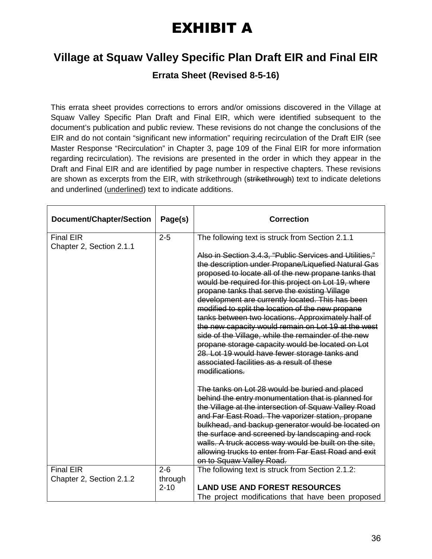## EXHIBIT A

## **Village at Squaw Valley Specific Plan Draft EIR and Final EIR**

**Errata Sheet (Revised 8-5-16)**

This errata sheet provides corrections to errors and/or omissions discovered in the Village at Squaw Valley Specific Plan Draft and Final EIR, which were identified subsequent to the document's publication and public review. These revisions do not change the conclusions of the EIR and do not contain "significant new information" requiring recirculation of the Draft EIR (see Master Response "Recirculation" in Chapter 3, page 109 of the Final EIR for more information regarding recirculation). The revisions are presented in the order in which they appear in the Draft and Final EIR and are identified by page number in respective chapters. These revisions are shown as excerpts from the EIR, with strikethrough (strikethrough) text to indicate deletions and underlined (underlined) text to indicate additions.

| <b>Document/Chapter/Section</b>              | Page(s)            | <b>Correction</b>                                                                                                                                                                                                                                                                                                                                                                                                                                                                                                                                                                                                                                                                                                                |
|----------------------------------------------|--------------------|----------------------------------------------------------------------------------------------------------------------------------------------------------------------------------------------------------------------------------------------------------------------------------------------------------------------------------------------------------------------------------------------------------------------------------------------------------------------------------------------------------------------------------------------------------------------------------------------------------------------------------------------------------------------------------------------------------------------------------|
| <b>Final EIR</b><br>Chapter 2, Section 2.1.1 | $2 - 5$            | The following text is struck from Section 2.1.1                                                                                                                                                                                                                                                                                                                                                                                                                                                                                                                                                                                                                                                                                  |
|                                              |                    | Also in Section 3.4.3, "Public Services and Utilities,"<br>the description under Propane/Liquefied Natural Gas<br>proposed to locate all of the new propane tanks that<br>would be required for this project on Lot 19, where<br>propane tanks that serve the existing Village<br>development are currently located. This has been<br>modified to split the location of the new propane<br>tanks between two locations. Approximately half of<br>the new capacity would remain on Lot 19 at the west<br>side of the Village, while the remainder of the new<br>propane storage capacity would be located on Lot<br>28. Lot 19 would have fewer storage tanks and<br>associated facilities as a result of these<br>modifications. |
|                                              |                    | The tanks on Lot 28 would be buried and placed<br>behind the entry monumentation that is planned for<br>the Village at the intersection of Squaw Valley Road<br>and Far East Road. The vaporizer station, propane<br>bulkhead, and backup generator would be located on                                                                                                                                                                                                                                                                                                                                                                                                                                                          |
|                                              |                    | the surface and screened by landscaping and rock<br>walls. A truck access way would be built on the site,<br>allowing trucks to enter from Far East Road and exit<br>on to Squaw Valley Road.                                                                                                                                                                                                                                                                                                                                                                                                                                                                                                                                    |
| <b>Final EIR</b><br>Chapter 2, Section 2.1.2 | $2 - 6$<br>through | The following text is struck from Section 2.1.2:                                                                                                                                                                                                                                                                                                                                                                                                                                                                                                                                                                                                                                                                                 |
|                                              | $2 - 10$           | <b>LAND USE AND FOREST RESOURCES</b>                                                                                                                                                                                                                                                                                                                                                                                                                                                                                                                                                                                                                                                                                             |
|                                              |                    | The project modifications that have been proposed                                                                                                                                                                                                                                                                                                                                                                                                                                                                                                                                                                                                                                                                                |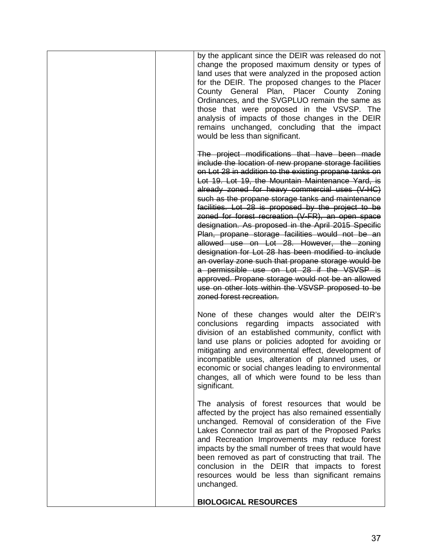| by the applicant since the DEIR was released do not<br>change the proposed maximum density or types of<br>land uses that were analyzed in the proposed action<br>for the DEIR. The proposed changes to the Placer<br>County General Plan, Placer County Zoning<br>Ordinances, and the SVGPLUO remain the same as<br>those that were proposed in the VSVSP. The<br>analysis of impacts of those changes in the DEIR<br>remains unchanged, concluding that the impact<br>would be less than significant.                                                                                                                                                                                                                                                                                                                                                                                               |
|------------------------------------------------------------------------------------------------------------------------------------------------------------------------------------------------------------------------------------------------------------------------------------------------------------------------------------------------------------------------------------------------------------------------------------------------------------------------------------------------------------------------------------------------------------------------------------------------------------------------------------------------------------------------------------------------------------------------------------------------------------------------------------------------------------------------------------------------------------------------------------------------------|
| The project modifications that have been made<br>include the location of new propane storage facilities<br>on Lot 28 in addition to the existing propane tanks on<br>Lot 19. Lot 19, the Mountain Maintenance Yard, is<br>already zoned for heavy commercial uses (V-HC)<br>such as the propane storage tanks and maintenance<br>facilities. Lot 28 is proposed by the project to be<br>zoned for forest recreation (V-FR), an open space<br>designation. As proposed in the April 2015 Specific<br>Plan, propane storage facilities would not be an<br>allowed use on Lot 28. However, the zoning<br>designation for Lot 28 has been modified to include<br>an overlay zone such that propane storage would be<br>a permissible use on Lot 28 if the VSVSP is<br>approved. Propane storage would not be an allowed<br>use on other lots within the VSVSP proposed to be<br>zoned forest recreation. |
| None of these changes would alter the DEIR's<br>conclusions regarding impacts associated with<br>division of an established community, conflict with<br>land use plans or policies adopted for avoiding or<br>mitigating and environmental effect, development of<br>incompatible uses, alteration of planned uses, or<br>economic or social changes leading to environmental<br>changes, all of which were found to be less than<br>significant.                                                                                                                                                                                                                                                                                                                                                                                                                                                    |
| The analysis of forest resources that would be<br>affected by the project has also remained essentially<br>unchanged. Removal of consideration of the Five<br>Lakes Connector trail as part of the Proposed Parks<br>and Recreation Improvements may reduce forest<br>impacts by the small number of trees that would have<br>been removed as part of constructing that trail. The<br>conclusion in the DEIR that impacts to forest<br>resources would be less than significant remains<br>unchanged.                                                                                                                                                                                                                                                                                                                                                                                                |
| <b>BIOLOGICAL RESOURCES</b>                                                                                                                                                                                                                                                                                                                                                                                                                                                                                                                                                                                                                                                                                                                                                                                                                                                                          |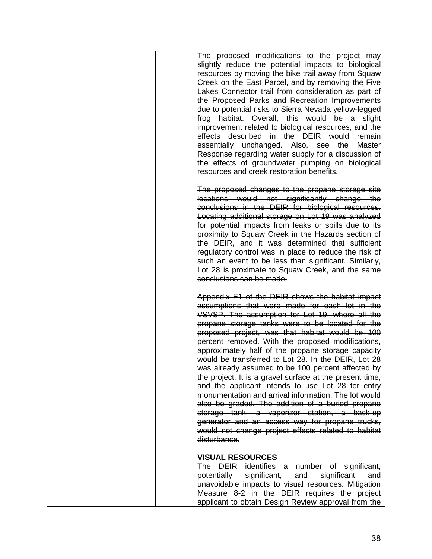| The proposed modifications to the project may<br>slightly reduce the potential impacts to biological<br>resources by moving the bike trail away from Squaw<br>Creek on the East Parcel, and by removing the Five<br>Lakes Connector trail from consideration as part of<br>the Proposed Parks and Recreation Improvements<br>due to potential risks to Sierra Nevada yellow-legged<br>frog<br>habitat. Overall, this would be a<br>slight<br>improvement related to biological resources, and the<br>effects described in the DEIR would remain<br>essentially unchanged. Also, see the Master<br>Response regarding water supply for a discussion of<br>the effects of groundwater pumping on biological<br>resources and creek restoration benefits.                                                                                                                                     |
|--------------------------------------------------------------------------------------------------------------------------------------------------------------------------------------------------------------------------------------------------------------------------------------------------------------------------------------------------------------------------------------------------------------------------------------------------------------------------------------------------------------------------------------------------------------------------------------------------------------------------------------------------------------------------------------------------------------------------------------------------------------------------------------------------------------------------------------------------------------------------------------------|
| The proposed changes to the propane storage site<br>locations would not significantly change the<br>conclusions in the DEIR for biological resources.<br>Locating additional storage on Lot 19 was analyzed<br>for potential impacts from leaks or spills due to its<br>proximity to Squaw Creek in the Hazards section of<br>the DEIR, and it was determined that sufficient<br>regulatory control was in place to reduce the risk of<br>such an event to be less than significant. Similarly,<br>Lot 28 is proximate to Squaw Creek, and the same<br>conclusions can be made.                                                                                                                                                                                                                                                                                                            |
| Appendix E1 of the DEIR shows the habitat impact<br>assumptions that were made for each lot in the<br>VSVSP. The assumption for Lot 19, where all the<br>propane storage tanks were to be located for the<br>proposed project, was that habitat would be 100<br>percent removed. With the proposed modifications,<br>approximately half of the propane storage capacity<br>would be transferred to Lot 28. In the DEIR, Lot 28<br>was already assumed to be 100 percent affected by<br>the project. It is a gravel surface at the present time,<br>and the applicant intends to use Lot 28 for entry<br>monumentation and arrival information. The lot would<br>also be graded. The addition of a buried propane<br>storage tank, a vaporizer station, a back-up<br>generator and an access way for propane trucks,<br>would not change project effects related to habitat<br>disturbance. |
| <b>VISUAL RESOURCES</b><br>The DEIR identifies a number of significant,<br>significant,<br>potentially<br>and<br>significant<br>and<br>unavoidable impacts to visual resources. Mitigation<br>Measure 8-2 in the DEIR requires the project<br>applicant to obtain Design Review approval from the                                                                                                                                                                                                                                                                                                                                                                                                                                                                                                                                                                                          |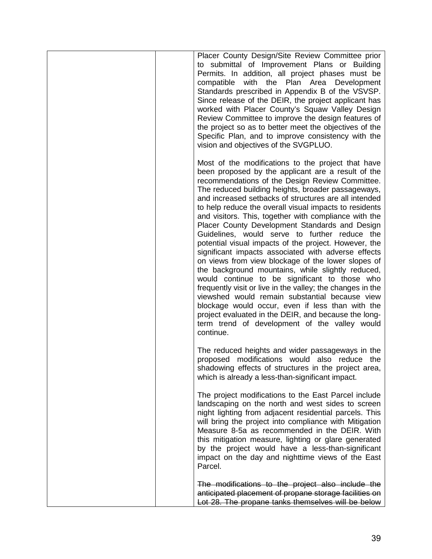| Placer County Design/Site Review Committee prior<br>to submittal of Improvement Plans or Building<br>Permits. In addition, all project phases must be<br>with the Plan Area<br>Development<br>compatible<br>Standards prescribed in Appendix B of the VSVSP.<br>Since release of the DEIR, the project applicant has<br>worked with Placer County's Squaw Valley Design<br>Review Committee to improve the design features of<br>the project so as to better meet the objectives of the<br>Specific Plan, and to improve consistency with the<br>vision and objectives of the SVGPLUO.                                                                                                                                                                                                                                                                                                                                                                                                                                                                                 |
|------------------------------------------------------------------------------------------------------------------------------------------------------------------------------------------------------------------------------------------------------------------------------------------------------------------------------------------------------------------------------------------------------------------------------------------------------------------------------------------------------------------------------------------------------------------------------------------------------------------------------------------------------------------------------------------------------------------------------------------------------------------------------------------------------------------------------------------------------------------------------------------------------------------------------------------------------------------------------------------------------------------------------------------------------------------------|
| Most of the modifications to the project that have<br>been proposed by the applicant are a result of the<br>recommendations of the Design Review Committee.<br>The reduced building heights, broader passageways,<br>and increased setbacks of structures are all intended<br>to help reduce the overall visual impacts to residents<br>and visitors. This, together with compliance with the<br>Placer County Development Standards and Design<br>Guidelines, would serve to further reduce the<br>potential visual impacts of the project. However, the<br>significant impacts associated with adverse effects<br>on views from view blockage of the lower slopes of<br>the background mountains, while slightly reduced,<br>would continue to be significant to those who<br>frequently visit or live in the valley; the changes in the<br>viewshed would remain substantial because view<br>blockage would occur, even if less than with the<br>project evaluated in the DEIR, and because the long-<br>term trend of development of the valley would<br>continue. |
| The reduced heights and wider passageways in the<br>proposed modifications would also reduce the<br>shadowing effects of structures in the project area,<br>which is already a less-than-significant impact.                                                                                                                                                                                                                                                                                                                                                                                                                                                                                                                                                                                                                                                                                                                                                                                                                                                           |
| The project modifications to the East Parcel include<br>landscaping on the north and west sides to screen<br>night lighting from adjacent residential parcels. This<br>will bring the project into compliance with Mitigation<br>Measure 8-5a as recommended in the DEIR. With<br>this mitigation measure, lighting or glare generated<br>by the project would have a less-than-significant<br>impact on the day and nighttime views of the East<br>Parcel.                                                                                                                                                                                                                                                                                                                                                                                                                                                                                                                                                                                                            |
| The modifications to the project also include the<br>anticipated placement of propane storage facilities on<br>Lot 28. The propane tanks themselves will be below                                                                                                                                                                                                                                                                                                                                                                                                                                                                                                                                                                                                                                                                                                                                                                                                                                                                                                      |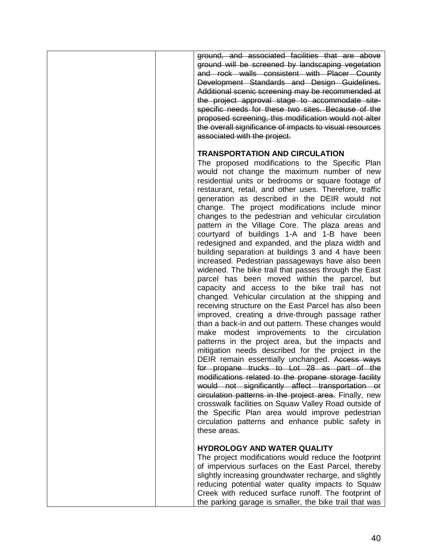| ground, and associated facilities that are above<br>ground will be screened by landscaping vegetation<br>and rock walls consistent with Placer County<br>Development Standards and Design Guidelines.<br>Additional scenic screening may be recommended at<br>the project approval stage to accommodate site-<br>specific needs for these two sites. Because of the<br>proposed screening, this modification would not alter<br>the overall significance of impacts to visual resources<br>associated with the project.                                                                                                                                                                                                                                                                                                                                                                                                                                                                                                                                                                                                                                                                                                                                                                                                                                                                                                                                                                                                                                                                                                                                                                 |
|-----------------------------------------------------------------------------------------------------------------------------------------------------------------------------------------------------------------------------------------------------------------------------------------------------------------------------------------------------------------------------------------------------------------------------------------------------------------------------------------------------------------------------------------------------------------------------------------------------------------------------------------------------------------------------------------------------------------------------------------------------------------------------------------------------------------------------------------------------------------------------------------------------------------------------------------------------------------------------------------------------------------------------------------------------------------------------------------------------------------------------------------------------------------------------------------------------------------------------------------------------------------------------------------------------------------------------------------------------------------------------------------------------------------------------------------------------------------------------------------------------------------------------------------------------------------------------------------------------------------------------------------------------------------------------------------|
| <b>TRANSPORTATION AND CIRCULATION</b><br>The proposed modifications to the Specific Plan<br>would not change the maximum number of new<br>residential units or bedrooms or square footage of<br>restaurant, retail, and other uses. Therefore, traffic<br>generation as described in the DEIR would not<br>change. The project modifications include minor<br>changes to the pedestrian and vehicular circulation<br>pattern in the Village Core. The plaza areas and<br>courtyard of buildings 1-A and 1-B have been<br>redesigned and expanded, and the plaza width and<br>building separation at buildings 3 and 4 have been<br>increased. Pedestrian passageways have also been<br>widened. The bike trail that passes through the East<br>parcel has been moved within the parcel, but<br>capacity and access to the bike trail has not<br>changed. Vehicular circulation at the shipping and<br>receiving structure on the East Parcel has also been<br>improved, creating a drive-through passage rather<br>than a back-in and out pattern. These changes would<br>make modest improvements to the circulation<br>patterns in the project area, but the impacts and<br>mitigation needs described for the project in the<br>DEIR remain essentially unchanged. Access ways<br>for propane trucks to Lot 28 as part of the<br>modifications related to the propane storage facility<br>would not significantly affect transportation or<br>circulation patterns in the project area. Finally, new<br>crosswalk facilities on Squaw Valley Road outside of<br>the Specific Plan area would improve pedestrian<br>circulation patterns and enhance public safety in<br>these areas. |
| <b>HYDROLOGY AND WATER QUALITY</b><br>The project modifications would reduce the footprint<br>of impervious surfaces on the East Parcel, thereby<br>slightly increasing groundwater recharge, and slightly<br>reducing potential water quality impacts to Squaw<br>Creek with reduced surface runoff. The footprint of<br>the parking garage is smaller, the bike trail that was                                                                                                                                                                                                                                                                                                                                                                                                                                                                                                                                                                                                                                                                                                                                                                                                                                                                                                                                                                                                                                                                                                                                                                                                                                                                                                        |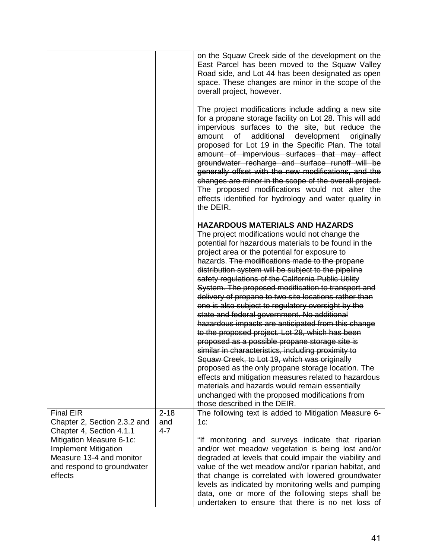|                                                                                                                                                                                                              |                            | on the Squaw Creek side of the development on the<br>East Parcel has been moved to the Squaw Valley<br>Road side, and Lot 44 has been designated as open<br>space. These changes are minor in the scope of the<br>overall project, however.                                                                                                                                                                                                                                                                                                                                                                                                                                                                                                                                                                                                                                                                                                                                                                                                                                                              |
|--------------------------------------------------------------------------------------------------------------------------------------------------------------------------------------------------------------|----------------------------|----------------------------------------------------------------------------------------------------------------------------------------------------------------------------------------------------------------------------------------------------------------------------------------------------------------------------------------------------------------------------------------------------------------------------------------------------------------------------------------------------------------------------------------------------------------------------------------------------------------------------------------------------------------------------------------------------------------------------------------------------------------------------------------------------------------------------------------------------------------------------------------------------------------------------------------------------------------------------------------------------------------------------------------------------------------------------------------------------------|
|                                                                                                                                                                                                              |                            | The project modifications include adding a new site<br>for a propane storage facility on Lot 28. This will add<br>impervious surfaces to the site, but reduce the<br>amount of additional development originally<br>proposed for Lot 19 in the Specific Plan. The total<br>amount of impervious surfaces that may affect<br>groundwater recharge and surface runoff will be<br>generally offset with the new modifications, and the<br>changes are minor in the scope of the overall project.<br>The proposed modifications would not alter the<br>effects identified for hydrology and water quality in<br>the DEIR.                                                                                                                                                                                                                                                                                                                                                                                                                                                                                    |
|                                                                                                                                                                                                              |                            | <b>HAZARDOUS MATERIALS AND HAZARDS</b><br>The project modifications would not change the<br>potential for hazardous materials to be found in the<br>project area or the potential for exposure to<br>hazards. The modifications made to the propane<br>distribution system will be subject to the pipeline<br>safety regulations of the California Public Utility<br>System. The proposed modification to transport and<br>delivery of propane to two site locations rather than<br>one is also subject to regulatory oversight by the<br>state and federal government. No additional<br>hazardous impacts are anticipated from this change<br>to the proposed project. Lot 28, which has been<br>proposed as a possible propane storage site is<br>similar in characteristics, including proximity to<br>Squaw Creek, to Lot 19, which was originally<br>proposed as the only propane storage location. The<br>effects and mitigation measures related to hazardous<br>materials and hazards would remain essentially<br>unchanged with the proposed modifications from<br>those described in the DEIR. |
| <b>Final EIR</b><br>Chapter 2, Section 2.3.2 and<br>Chapter 4, Section 4.1.1<br>Mitigation Measure 6-1c:<br><b>Implement Mitigation</b><br>Measure 13-4 and monitor<br>and respond to groundwater<br>effects | $2 - 18$<br>and<br>$4 - 7$ | The following text is added to Mitigation Measure 6-<br>$1c$ :<br>"If monitoring and surveys indicate that riparian<br>and/or wet meadow vegetation is being lost and/or<br>degraded at levels that could impair the viability and<br>value of the wet meadow and/or riparian habitat, and<br>that change is correlated with lowered groundwater<br>levels as indicated by monitoring wells and pumping<br>data, one or more of the following steps shall be<br>undertaken to ensure that there is no net loss of                                                                                                                                                                                                                                                                                                                                                                                                                                                                                                                                                                                        |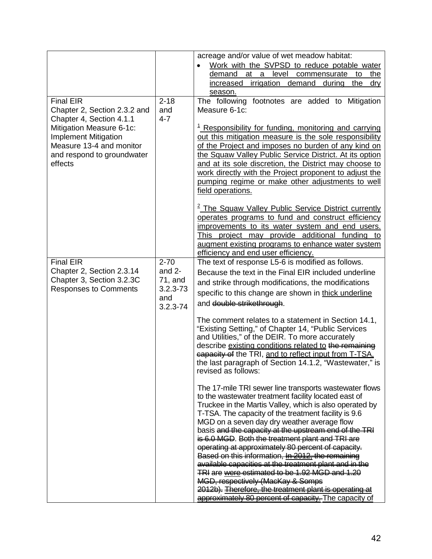|                                                                                                                                                                                                              |                                                                           | acreage and/or value of wet meadow habitat:<br>Work with the SVPSD to reduce potable water<br>$\bullet$<br>demand at a level commensurate to<br>the<br>increased irrigation<br><u>demand</u><br>during<br>the<br>dry<br>season.                                                                                                                                                                                                                                                                                                                                                                                                                                                                                                                                              |
|--------------------------------------------------------------------------------------------------------------------------------------------------------------------------------------------------------------|---------------------------------------------------------------------------|------------------------------------------------------------------------------------------------------------------------------------------------------------------------------------------------------------------------------------------------------------------------------------------------------------------------------------------------------------------------------------------------------------------------------------------------------------------------------------------------------------------------------------------------------------------------------------------------------------------------------------------------------------------------------------------------------------------------------------------------------------------------------|
| <b>Final EIR</b><br>Chapter 2, Section 2.3.2 and<br>Chapter 4, Section 4.1.1<br>Mitigation Measure 6-1c:<br><b>Implement Mitigation</b><br>Measure 13-4 and monitor<br>and respond to groundwater<br>effects | $2 - 18$<br>and<br>$4 - 7$                                                | The following footnotes are added to Mitigation<br>Measure 6-1c:<br><sup>1</sup> Responsibility for funding, monitoring and carrying<br>out this mitigation measure is the sole responsibility<br>of the Project and imposes no burden of any kind on<br>the Squaw Valley Public Service District. At its option<br>and at its sole discretion, the District may choose to<br>work directly with the Project proponent to adjust the<br>pumping regime or make other adjustments to well<br>field operations.                                                                                                                                                                                                                                                                |
|                                                                                                                                                                                                              |                                                                           | <sup>2</sup> The Squaw Valley Public Service District currently<br>operates programs to fund and construct efficiency<br>improvements to its water system and end users.<br>This project may provide additional funding to<br>augment existing programs to enhance water system<br>efficiency and end user efficiency.                                                                                                                                                                                                                                                                                                                                                                                                                                                       |
| <b>Final EIR</b><br>Chapter 2, Section 2.3.14<br>Chapter 3, Section 3.2.3C<br><b>Responses to Comments</b>                                                                                                   | $2 - 70$<br>and $2-$<br>$71$ , and<br>$3.2.3 - 73$<br>and<br>$3.2.3 - 74$ | The text of response L5-6 is modified as follows.<br>Because the text in the Final EIR included underline<br>and strike through modifications, the modifications<br>specific to this change are shown in thick underline<br>and double strikethrough.<br>The comment relates to a statement in Section 14.1,<br>"Existing Setting," of Chapter 14, "Public Services<br>and Utilities," of the DEIR. To more accurately<br>describe existing conditions related to the remaining<br>eapacity of the TRI, and to reflect input from T-TSA.<br>the last paragraph of Section 14.1.2, "Wastewater," is<br>revised as follows:                                                                                                                                                    |
|                                                                                                                                                                                                              |                                                                           | The 17-mile TRI sewer line transports wastewater flows<br>to the wastewater treatment facility located east of<br>Truckee in the Martis Valley, which is also operated by<br>T-TSA. The capacity of the treatment facility is 9.6<br>MGD on a seven day dry weather average flow<br>basis and the capacity at the upstream end of the TRI<br>is 6.0 MGD. Both the treatment plant and TRI are<br>operating at approximately 80 percent of capacity.<br>Based on this information, In 2012, the remaining<br>available capacities at the treatment plant and in the<br>TRI are were estimated to be 1.92 MGD and 1.20<br>MGD, respectively (MacKay & Somps<br>2012b). Therefore, the treatment plant is operating at<br>approximately 80 percent of capacity. The capacity of |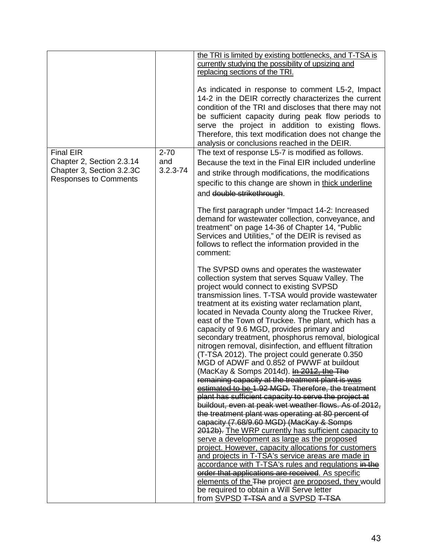|                              |              | the TRI is limited by existing bottlenecks, and T-TSA is |
|------------------------------|--------------|----------------------------------------------------------|
|                              |              | currently studying the possibility of upsizing and       |
|                              |              | replacing sections of the TRI.                           |
|                              |              |                                                          |
|                              |              | As indicated in response to comment L5-2, Impact         |
|                              |              | 14-2 in the DEIR correctly characterizes the current     |
|                              |              | condition of the TRI and discloses that there may not    |
|                              |              | be sufficient capacity during peak flow periods to       |
|                              |              | serve the project in addition to existing flows.         |
|                              |              | Therefore, this text modification does not change the    |
|                              |              | analysis or conclusions reached in the DEIR.             |
| <b>Final EIR</b>             | $2 - 70$     | The text of response L5-7 is modified as follows.        |
| Chapter 2, Section 2.3.14    | and          | Because the text in the Final EIR included underline     |
| Chapter 3, Section 3.2.3C    | $3.2.3 - 74$ |                                                          |
| <b>Responses to Comments</b> |              | and strike through modifications, the modifications      |
|                              |              | specific to this change are shown in thick underline     |
|                              |              | and double strikethrough.                                |
|                              |              |                                                          |
|                              |              | The first paragraph under "Impact 14-2: Increased        |
|                              |              | demand for wastewater collection, conveyance, and        |
|                              |              | treatment" on page 14-36 of Chapter 14, "Public          |
|                              |              | Services and Utilities," of the DEIR is revised as       |
|                              |              | follows to reflect the information provided in the       |
|                              |              | comment:                                                 |
|                              |              |                                                          |
|                              |              | The SVPSD owns and operates the wastewater               |
|                              |              | collection system that serves Squaw Valley. The          |
|                              |              | project would connect to existing SVPSD                  |
|                              |              | transmission lines. T-TSA would provide wastewater       |
|                              |              | treatment at its existing water reclamation plant,       |
|                              |              | located in Nevada County along the Truckee River,        |
|                              |              | east of the Town of Truckee. The plant, which has a      |
|                              |              | capacity of 9.6 MGD, provides primary and                |
|                              |              | secondary treatment, phosphorus removal, biological      |
|                              |              | nitrogen removal, disinfection, and effluent filtration  |
|                              |              | (T-TSA 2012). The project could generate 0.350           |
|                              |              | MGD of ADWF and 0.852 of PWWF at buildout                |
|                              |              | (MacKay & Somps 2014d). In 2012, the The                 |
|                              |              | remaining capacity at the treatment plant is was         |
|                              |              | estimated to be 1.92 MGD. Therefore, the treatment       |
|                              |              | plant has sufficient capacity to serve the project at    |
|                              |              | buildout, even at peak wet weather flows. As of 2012,    |
|                              |              | the treatment plant was operating at 80 percent of       |
|                              |              | capacity (7.68/9.60 MGD) (MacKay & Somps                 |
|                              |              | 2012b). The WRP currently has sufficient capacity to     |
|                              |              | serve a development as large as the proposed             |
|                              |              | project. However, capacity allocations for customers     |
|                              |              | and projects in T-TSA's service areas are made in        |
|                              |              | accordance with T-TSA's rules and regulations in the     |
|                              |              | erder that applications are received. As specific        |
|                              |              | elements of the The project are proposed, they would     |
|                              |              | be required to obtain a Will Serve letter                |
|                              |              | from SVPSD T-TSA and a SVPSD T-TSA                       |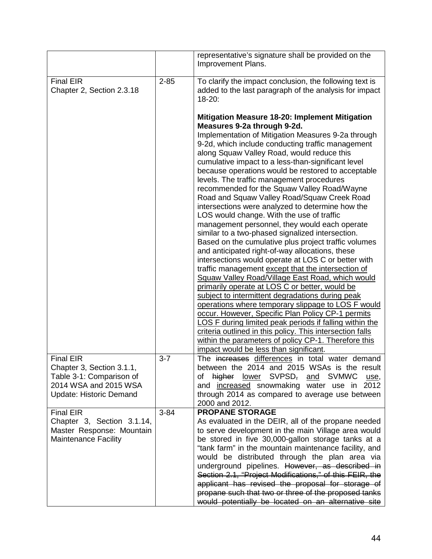|                                                                                                                                      |          | representative's signature shall be provided on the<br>Improvement Plans.                                                                                                                                                                                                                                                                                                                                                                                                                                                                                                                                                                                                                                                                                                                                                                                                                                                                                                                                                                                                                                                                                                                                                                                                                                                                 |
|--------------------------------------------------------------------------------------------------------------------------------------|----------|-------------------------------------------------------------------------------------------------------------------------------------------------------------------------------------------------------------------------------------------------------------------------------------------------------------------------------------------------------------------------------------------------------------------------------------------------------------------------------------------------------------------------------------------------------------------------------------------------------------------------------------------------------------------------------------------------------------------------------------------------------------------------------------------------------------------------------------------------------------------------------------------------------------------------------------------------------------------------------------------------------------------------------------------------------------------------------------------------------------------------------------------------------------------------------------------------------------------------------------------------------------------------------------------------------------------------------------------|
| <b>Final EIR</b><br>Chapter 2, Section 2.3.18                                                                                        | $2 - 85$ | To clarify the impact conclusion, the following text is<br>added to the last paragraph of the analysis for impact<br>$18 - 20$ :                                                                                                                                                                                                                                                                                                                                                                                                                                                                                                                                                                                                                                                                                                                                                                                                                                                                                                                                                                                                                                                                                                                                                                                                          |
|                                                                                                                                      |          | Mitigation Measure 18-20: Implement Mitigation<br>Measures 9-2a through 9-2d.                                                                                                                                                                                                                                                                                                                                                                                                                                                                                                                                                                                                                                                                                                                                                                                                                                                                                                                                                                                                                                                                                                                                                                                                                                                             |
|                                                                                                                                      |          | Implementation of Mitigation Measures 9-2a through<br>9-2d, which include conducting traffic management<br>along Squaw Valley Road, would reduce this<br>cumulative impact to a less-than-significant level<br>because operations would be restored to acceptable<br>levels. The traffic management procedures<br>recommended for the Squaw Valley Road/Wayne<br>Road and Squaw Valley Road/Squaw Creek Road<br>intersections were analyzed to determine how the<br>LOS would change. With the use of traffic<br>management personnel, they would each operate<br>similar to a two-phased signalized intersection.<br>Based on the cumulative plus project traffic volumes<br>and anticipated right-of-way allocations, these<br>intersections would operate at LOS C or better with<br>traffic management except that the intersection of<br>Squaw Valley Road/Village East Road, which would<br>primarily operate at LOS C or better, would be<br>subject to intermittent degradations during peak<br>operations where temporary slippage to LOS F would<br>occur. However, Specific Plan Policy CP-1 permits<br>LOS F during limited peak periods if falling within the<br>criteria outlined in this policy. This intersection falls<br>within the parameters of policy CP-1. Therefore this<br>impact would be less than significant. |
| <b>Final EIR</b><br>Chapter 3, Section 3.1.1,<br>Table 3-1: Comparison of<br>2014 WSA and 2015 WSA<br><b>Update: Historic Demand</b> | $3 - 7$  | The increases differences in total water demand<br>between the 2014 and 2015 WSAs is the result<br>SVPSD <del>,</del><br><b>SVMWC</b><br>higher<br><u>lower</u><br>0f<br>and<br>use,<br>and increased snowmaking water use in<br>2012<br>through 2014 as compared to average use between<br>2000 and 2012.                                                                                                                                                                                                                                                                                                                                                                                                                                                                                                                                                                                                                                                                                                                                                                                                                                                                                                                                                                                                                                |
| <b>Final EIR</b>                                                                                                                     | $3 - 84$ | <b>PROPANE STORAGE</b>                                                                                                                                                                                                                                                                                                                                                                                                                                                                                                                                                                                                                                                                                                                                                                                                                                                                                                                                                                                                                                                                                                                                                                                                                                                                                                                    |
| Chapter 3, Section 3.1.14,<br>Master Response: Mountain<br><b>Maintenance Facility</b>                                               |          | As evaluated in the DEIR, all of the propane needed<br>to serve development in the main Village area would<br>be stored in five 30,000-gallon storage tanks at a<br>"tank farm" in the mountain maintenance facility, and<br>would be distributed through the plan area via<br>underground pipelines. However, as described in<br>Section 2.1, "Project Modifications," of this FEIR, the<br>applicant has revised the proposal for storage of                                                                                                                                                                                                                                                                                                                                                                                                                                                                                                                                                                                                                                                                                                                                                                                                                                                                                            |
|                                                                                                                                      |          | propane such that two or three of the proposed tanks<br>would potentially be located on an alternative site                                                                                                                                                                                                                                                                                                                                                                                                                                                                                                                                                                                                                                                                                                                                                                                                                                                                                                                                                                                                                                                                                                                                                                                                                               |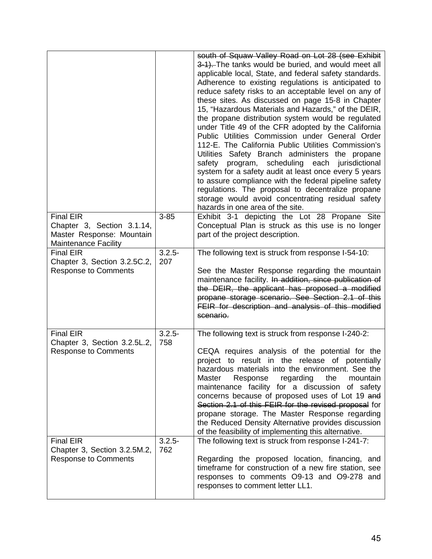|                                                                                                            |                  | south of Squaw Valley Road on Lot 28 (see Exhibit<br>3-1). The tanks would be buried, and would meet all<br>applicable local, State, and federal safety standards.<br>Adherence to existing regulations is anticipated to<br>reduce safety risks to an acceptable level on any of<br>these sites. As discussed on page 15-8 in Chapter<br>15, "Hazardous Materials and Hazards," of the DEIR,<br>the propane distribution system would be regulated<br>under Title 49 of the CFR adopted by the California<br>Public Utilities Commission under General Order<br>112-E. The California Public Utilities Commission's<br>Utilities Safety Branch administers the propane<br>program, scheduling<br>each<br>jurisdictional<br>safety<br>system for a safety audit at least once every 5 years<br>to assure compliance with the federal pipeline safety<br>regulations. The proposal to decentralize propane<br>storage would avoid concentrating residual safety<br>hazards in one area of the site. |
|------------------------------------------------------------------------------------------------------------|------------------|----------------------------------------------------------------------------------------------------------------------------------------------------------------------------------------------------------------------------------------------------------------------------------------------------------------------------------------------------------------------------------------------------------------------------------------------------------------------------------------------------------------------------------------------------------------------------------------------------------------------------------------------------------------------------------------------------------------------------------------------------------------------------------------------------------------------------------------------------------------------------------------------------------------------------------------------------------------------------------------------------|
| <b>Final EIR</b><br>Chapter 3, Section 3.1.14,<br>Master Response: Mountain<br><b>Maintenance Facility</b> | $3 - 85$         | Exhibit 3-1 depicting the Lot 28 Propane Site<br>Conceptual Plan is struck as this use is no longer<br>part of the project description.                                                                                                                                                                                                                                                                                                                                                                                                                                                                                                                                                                                                                                                                                                                                                                                                                                                            |
| <b>Final EIR</b><br>Chapter 3, Section 3.2.5C.2,<br><b>Response to Comments</b>                            | $3.2.5 -$<br>207 | The following text is struck from response I-54-10:<br>See the Master Response regarding the mountain<br>maintenance facility. In addition, since publication of<br>the DEIR, the applicant has proposed a modified<br>propane storage scenario. See Section 2.1 of this<br>FEIR for description and analysis of this modified<br>scenario.                                                                                                                                                                                                                                                                                                                                                                                                                                                                                                                                                                                                                                                        |
| <b>Final EIR</b><br>Chapter 3, Section 3.2.5L.2,<br><b>Response to Comments</b>                            | $3.2.5 -$<br>758 | The following text is struck from response I-240-2:<br>CEQA requires analysis of the potential for the<br>project to result in the release of potentially<br>hazardous materials into the environment. See the<br>Master<br>the<br>Response<br>regarding<br>mountain<br>maintenance facility for a discussion of safety<br>concerns because of proposed uses of Lot 19 and<br>Section 2.1 of this FEIR for the revised proposal for<br>propane storage. The Master Response regarding<br>the Reduced Density Alternative provides discussion<br>of the feasibility of implementing this alternative.                                                                                                                                                                                                                                                                                                                                                                                               |
| <b>Final EIR</b><br>Chapter 3, Section 3.2.5M.2,<br><b>Response to Comments</b>                            | $3.2.5 -$<br>762 | The following text is struck from response I-241-7:<br>Regarding the proposed location, financing, and<br>timeframe for construction of a new fire station, see<br>responses to comments O9-13 and O9-278 and<br>responses to comment letter LL1.                                                                                                                                                                                                                                                                                                                                                                                                                                                                                                                                                                                                                                                                                                                                                  |